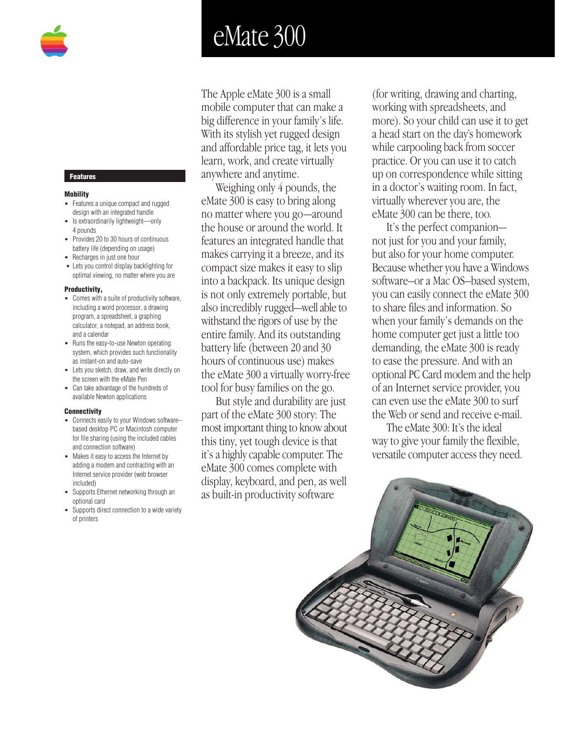# eMate 300

The Apple eMate 300 is a small mobile computer that can make a big difference in your family's life. With its stylish yet rugged design and affordable price tag, it lets you learn, work, and create virtually anywhere and anytime.

Weighing only 4 pounds, the eMate 300 is easy to bring along no matter where you go—around the house or around the world. It features an integrated handle that makes carrying it a breeze, and its compact size makes it easy to slip into a backpack. Its unique design is not only extremely portable, but also incredibly rugged—well able to withstand the rigors of use by the entire family. And its outstanding battery life (between 20 and 30 hours of continuous use) makes the eMate 300 a virtually worry-free tool for busy families on the go.

But style and durability are just part of the eMate 300 story: The most important thing to know about this tiny, yet tough device is that it's a highly capable computer. The eMate 300 comes complete with display, keyboard, and pen, as well as built-in productivity software

(for writing, drawing and charting, working with spreadsheets, and more). So your child can use it to get a head start on the day's homework while carpooling back from soccer practice. Or you can use it to catch up on correspondence while sitting in a doctor's waiting room. In fact, virtually wherever you are, the eMate 300 can be there, too.

It's the perfect companion not just for you and your family, but also for your home computer. Because whether you have a Windows software–or a Mac OS–based system, you can easily connect the eMate 300 to share files and information. So when your family's demands on the home computer get just a little too demanding, the eMate 300 is ready to ease the pressure. And with an optional PC Card modem and the help of an Internet service provider, you can even use the eMate 300 to surf the Web or send and receive e-mail.

The eMate 300: It's the ideal way to give your family the flexible, versatile computer access they need.



## **Features**

#### **Mobility**

- Features a unique compact and rugged design with an integrated handle
- Is extraordinarily lightweight—only 4 pounds
- Provides 20 to 30 hours of continuous battery life (depending on usage)
- Recharges in just one hour
- Lets you control display backlighting for optimal viewing, no matter where you are

#### **Productivity,**

- Comes with a suite of productivity software, including a word processor, a drawing program, a spreadsheet, a graphing calculator, a notepad, an address book, and a calendar
- Runs the easy-to-use Newton operating system, which provides such functionality as instant-on and auto-save
- Lets you sketch, draw, and write directly on the screen with the eMate Pen
- Can take advantage of the hundreds of available Newton applications

### **Connectivity**

- Connects easily to your Windows software– based desktop PC or Macintosh computer for file sharing (using the included cables and connection software)
- Makes it easy to access the Internet by adding a modem and contracting with an Internet service provider (web browser included)
- Supports Ethernet networking through an optional card
- Supports direct connection to a wide variety of printers